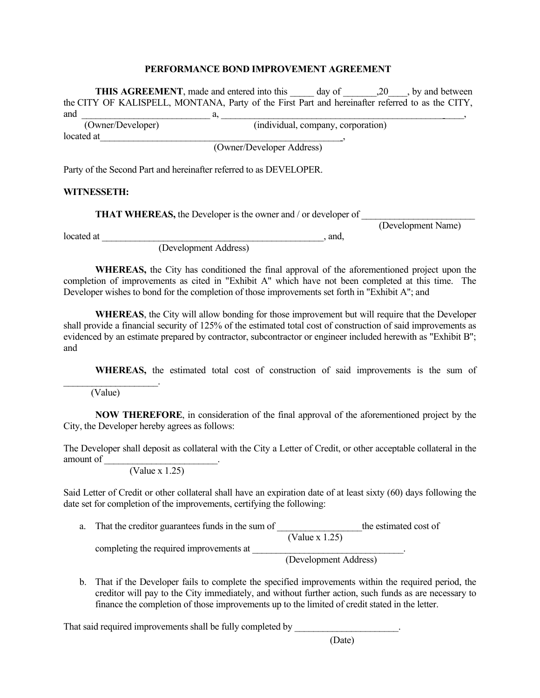## **PERFORMANCE BOND IMPROVEMENT AGREEMENT**

**THIS AGREEMENT**, made and entered into this day of  $\qquad$ , 20  $\qquad$ , by and between the CITY OF KALISPELL, MONTANA, Party of the First Part and hereinafter referred to as the CITY, and \_\_\_\_\_\_\_\_\_\_\_\_\_\_\_\_\_\_\_\_\_\_\_\_\_\_\_ a, \_\_\_\_\_\_\_\_\_\_\_\_\_\_\_\_\_\_\_\_\_\_\_\_\_\_\_\_\_\_\_\_\_\_\_\_\_\_\_\_\_\_\_\_\_\_\_\_\_\_\_,  $(individual, company, corporation)$ located at (Owner/Developer Address) Party of the Second Part and hereinafter referred to as DEVELOPER.

## **WITNESSETH:**

**THAT WHEREAS, the Developer is the owner and / or developer of** 

(Development Name)

located at \_\_\_\_\_\_\_\_\_\_\_\_\_\_\_\_\_\_\_\_\_\_\_\_\_\_\_\_\_\_\_\_\_\_\_\_\_\_\_\_\_\_\_\_\_\_\_, and,

(Development Address)

**WHEREAS,** the City has conditioned the final approval of the aforementioned project upon the completion of improvements as cited in "Exhibit A" which have not been completed at this time. The Developer wishes to bond for the completion of those improvements set forth in "Exhibit A"; and

**WHEREAS**, the City will allow bonding for those improvement but will require that the Developer shall provide a financial security of 125% of the estimated total cost of construction of said improvements as evidenced by an estimate prepared by contractor, subcontractor or engineer included herewith as "Exhibit B"; and

**WHEREAS,** the estimated total cost of construction of said improvements is the sum of

(Value)

\_\_\_\_\_\_\_\_\_\_\_\_\_\_\_\_\_\_\_\_.

**NOW THEREFORE**, in consideration of the final approval of the aforementioned project by the City, the Developer hereby agrees as follows:

The Developer shall deposit as collateral with the City a Letter of Credit, or other acceptable collateral in the amount of \_\_\_\_\_\_\_\_\_\_\_\_\_\_\_\_\_\_\_\_\_\_\_\_.

(Value x 1.25)

Said Letter of Credit or other collateral shall have an expiration date of at least sixty (60) days following the date set for completion of the improvements, certifying the following:

- a. That the creditor guarantees funds in the sum of  $\frac{C}{\text{Value x } 1.25}$  the estimated cost of (Value x 1.25) completing the required improvements at \_\_\_\_\_\_\_\_\_\_\_\_\_\_\_\_\_\_\_\_\_\_\_\_\_\_\_\_\_\_\_\_. (Development Address)
- b. That if the Developer fails to complete the specified improvements within the required period, the creditor will pay to the City immediately, and without further action, such funds as are necessary to finance the completion of those improvements up to the limited of credit stated in the letter.

That said required improvements shall be fully completed by

(Date)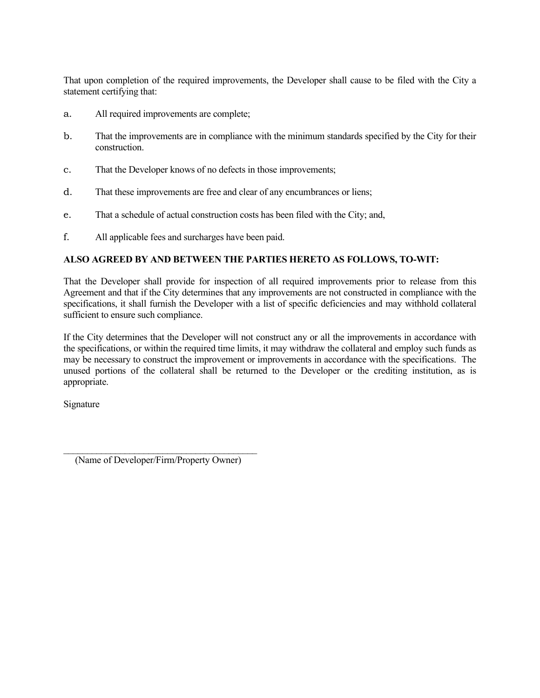That upon completion of the required improvements, the Developer shall cause to be filed with the City a statement certifying that:

- a. All required improvements are complete;
- b. That the improvements are in compliance with the minimum standards specified by the City for their construction.
- c. That the Developer knows of no defects in those improvements;
- d. That these improvements are free and clear of any encumbrances or liens;
- e. That a schedule of actual construction costs has been filed with the City; and,
- f. All applicable fees and surcharges have been paid.

## **ALSO AGREED BY AND BETWEEN THE PARTIES HERETO AS FOLLOWS, TO-WIT:**

That the Developer shall provide for inspection of all required improvements prior to release from this Agreement and that if the City determines that any improvements are not constructed in compliance with the specifications, it shall furnish the Developer with a list of specific deficiencies and may withhold collateral sufficient to ensure such compliance.

If the City determines that the Developer will not construct any or all the improvements in accordance with the specifications, or within the required time limits, it may withdraw the collateral and employ such funds as may be necessary to construct the improvement or improvements in accordance with the specifications. The unused portions of the collateral shall be returned to the Developer or the crediting institution, as is appropriate.

Signature

\_\_\_\_\_\_\_\_\_\_\_\_\_\_\_\_\_\_\_\_\_\_\_\_\_\_\_\_\_\_\_\_\_\_\_\_\_\_\_\_\_ (Name of Developer/Firm/Property Owner)